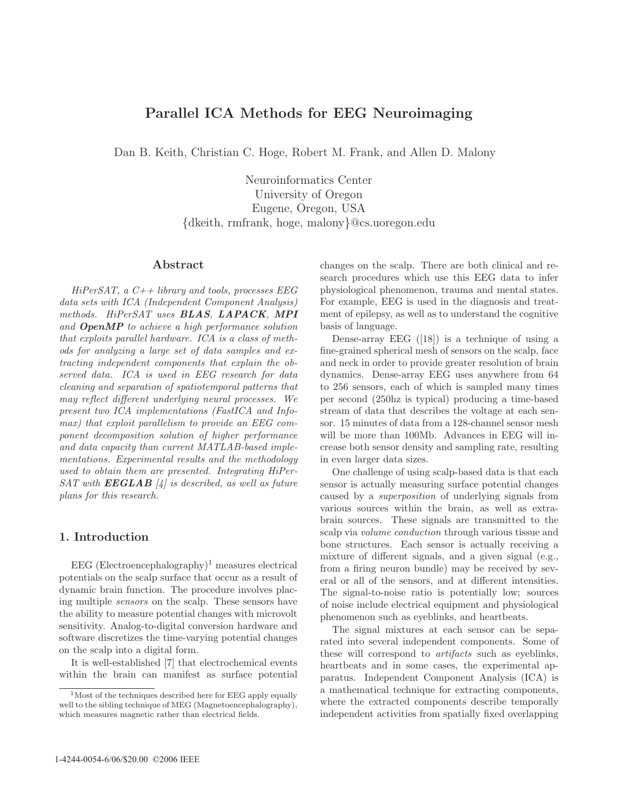# **Parallel ICA Methods for EEG Neuroimaging**

Dan B. Keith, Christian C. Hoge, Robert M. Frank, and Allen D. Malony

Neuroinformatics Center University of Oregon Eugene, Oregon, USA {dkeith, rmfrank, hoge, malony}@cs.uoregon.edu

#### **Abstract**

 $HiPerSAT$ , a  $C++ library$  and tools, processes EEG data sets with ICA (Independent Component Analysis) methods. HiPerSAT uses *BLAS*, *LAPACK*, *MPI* and *OpenMP* to achieve a high performance solution that exploits parallel hardware. ICA is a class of methods for analyzing a large set of data samples and extracting independent components that explain the observed data. ICA is used in EEG research for data cleaning and separation of spatiotemporal patterns that may reflect different underlying neural processes. We present two ICA implementations (FastICA and Infomax) that exploit parallelism to provide an EEG component decomposition solution of higher performance and data capacity than current MATLAB-based implementations. Experimental results and the methodology used to obtain them are presented. Integrating HiPer- $SAT$  with  $EEGLAB$  [4] is described, as well as future plans for this research.

## **1. Introduction**

 $EEG$  (Electroencephalography)<sup>1</sup> measures electrical potentials on the scalp surface that occur as a result of dynamic brain function. The procedure involves placing multiple sensors on the scalp. These sensors have the ability to measure potential changes with microvolt sensitivity. Analog-to-digital conversion hardware and software discretizes the time-varying potential changes on the scalp into a digital form.

It is well-established [7] that electrochemical events within the brain can manifest as surface potential changes on the scalp. There are both clinical and research procedures which use this EEG data to infer physiological phenomenon, trauma and mental states. For example, EEG is used in the diagnosis and treatment of epilepsy, as well as to understand the cognitive basis of language.

Dense-array EEG ([18]) is a technique of using a fine-grained spherical mesh of sensors on the scalp, face and neck in order to provide greater resolution of brain dynamics. Dense-array EEG uses anywhere from 64 to 256 sensors, each of which is sampled many times per second (250hz is typical) producing a time-based stream of data that describes the voltage at each sensor. 15 minutes of data from a 128-channel sensor mesh will be more than 100Mb. Advances in EEG will increase both sensor density and sampling rate, resulting in even larger data sizes.

One challenge of using scalp-based data is that each sensor is actually measuring surface potential changes caused by a superposition of underlying signals from various sources within the brain, as well as extrabrain sources. These signals are transmitted to the scalp via volume conduction through various tissue and bone structures. Each sensor is actually receiving a mixture of different signals, and a given signal (e.g., from a firing neuron bundle) may be received by several or all of the sensors, and at different intensities. The signal-to-noise ratio is potentially low; sources of noise include electrical equipment and physiological phenomenon such as eyeblinks, and heartbeats.

The signal mixtures at each sensor can be separated into several independent components. Some of these will correspond to artifacts such as eyeblinks, heartbeats and in some cases, the experimental apparatus. Independent Component Analysis (ICA) is a mathematical technique for extracting components, where the extracted components describe temporally independent activities from spatially fixed overlapping

 $1<sup>1</sup>$  Most of the techniques described here for EEG apply equally well to the sibling technique of MEG (Magnetoencephalography), which measures magnetic rather than electrical fields.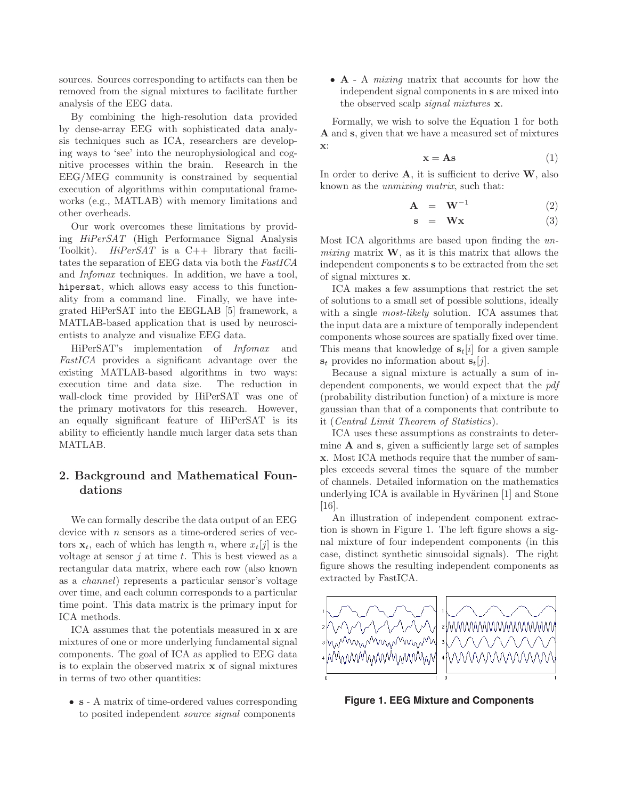sources. Sources corresponding to artifacts can then be removed from the signal mixtures to facilitate further analysis of the EEG data.

By combining the high-resolution data provided by dense-array EEG with sophisticated data analysis techniques such as ICA, researchers are developing ways to 'see' into the neurophysiological and cognitive processes within the brain. Research in the EEG/MEG community is constrained by sequential execution of algorithms within computational frameworks (e.g., MATLAB) with memory limitations and other overheads.

Our work overcomes these limitations by providing HiPerSAT (High Performance Signal Analysis Toolkit).  $HiPerSAT$  is a  $C++$  library that facilitates the separation of EEG data via both the FastICA and Infomax techniques. In addition, we have a tool, hipersat, which allows easy access to this functionality from a command line. Finally, we have integrated HiPerSAT into the EEGLAB [5] framework, a MATLAB-based application that is used by neuroscientists to analyze and visualize EEG data.

HiPerSAT's implementation of Infomax and FastICA provides a significant advantage over the existing MATLAB-based algorithms in two ways: execution time and data size. The reduction in wall-clock time provided by HiPerSAT was one of the primary motivators for this research. However, an equally significant feature of HiPerSAT is its ability to efficiently handle much larger data sets than MATLAB.

## **2. Background and Mathematical Foundations**

We can formally describe the data output of an EEG device with  $n$  sensors as a time-ordered series of vectors  $\mathbf{x}_t$ , each of which has length n, where  $x_t[j]$  is the voltage at sensor  $j$  at time  $t$ . This is best viewed as a rectangular data matrix, where each row (also known as a channel) represents a particular sensor's voltage over time, and each column corresponds to a particular time point. This data matrix is the primary input for ICA methods.

ICA assumes that the potentials measured in **x** are mixtures of one or more underlying fundamental signal components. The goal of ICA as applied to EEG data is to explain the observed matrix **x** of signal mixtures in terms of two other quantities:

• **s** - A matrix of time-ordered values corresponding to posited independent source signal components

• **A** - A mixing matrix that accounts for how the independent signal components in **s** are mixed into the observed scalp signal mixtures **x**.

Formally, we wish to solve the Equation 1 for both **A** and **s**, given that we have a measured set of mixtures **x**:

$$
\mathbf{x} = \mathbf{A}\mathbf{s} \tag{1}
$$

In order to derive **A**, it is sufficient to derive **W**, also known as the unmixing matrix, such that:

$$
\mathbf{A} = \mathbf{W}^{-1} \tag{2}
$$

$$
s = Wx \tag{3}
$$

Most ICA algorithms are based upon finding the unmixing matrix  $W$ , as it is this matrix that allows the independent components **s** to be extracted from the set of signal mixtures **x**.

ICA makes a few assumptions that restrict the set of solutions to a small set of possible solutions, ideally with a single *most-likely* solution. ICA assumes that the input data are a mixture of temporally independent components whose sources are spatially fixed over time. This means that knowledge of  $s_t[i]$  for a given sample  $s_t$  provides no information about  $s_t[j]$ .

Because a signal mixture is actually a sum of independent components, we would expect that the pdf (probability distribution function) of a mixture is more gaussian than that of a components that contribute to it (Central Limit Theorem of Statistics).

ICA uses these assumptions as constraints to determine **A** and **s**, given a sufficiently large set of samples **x**. Most ICA methods require that the number of samples exceeds several times the square of the number of channels. Detailed information on the mathematics underlying ICA is available in Hyvärinen  $[1]$  and Stone [16].

An illustration of independent component extraction is shown in Figure 1. The left figure shows a signal mixture of four independent components (in this case, distinct synthetic sinusoidal signals). The right figure shows the resulting independent components as extracted by FastICA.



**Figure 1. EEG Mixture and Components**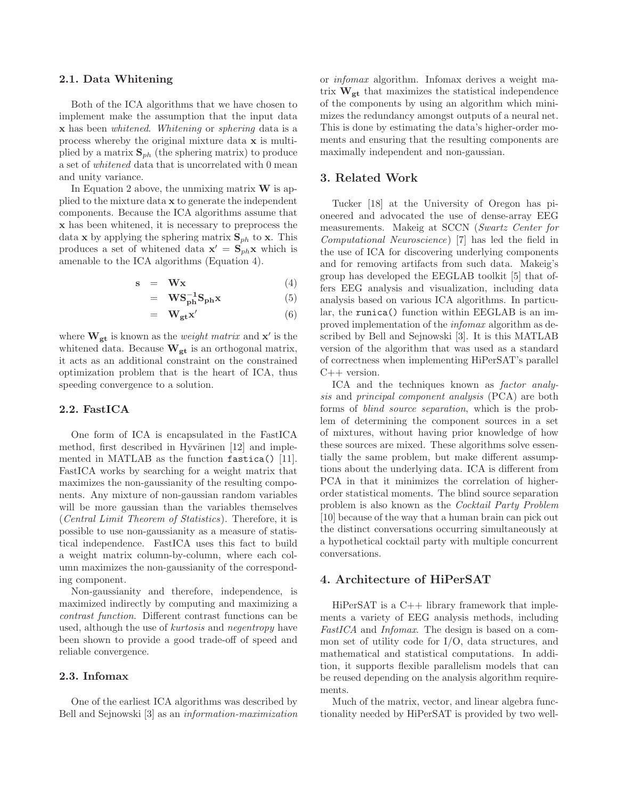#### **2.1. Data Whitening**

Both of the ICA algorithms that we have chosen to implement make the assumption that the input data **x** has been whitened. Whitening or sphering data is a process whereby the original mixture data **x** is multiplied by a matrix  $\mathbf{S}_{ph}$  (the sphering matrix) to produce a set of whitened data that is uncorrelated with 0 mean and unity variance.

In Equation 2 above, the unmixing matrix **W** is applied to the mixture data **x** to generate the independent components. Because the ICA algorithms assume that **x** has been whitened, it is necessary to preprocess the data **x** by applying the sphering matrix  $\mathbf{S}_{ph}$  to **x**. This produces a set of whitened data  $\mathbf{x}' = \mathbf{S}_{ph}\mathbf{x}$  which is amenable to the ICA algorithms (Equation 4).

$$
s = Wx \tag{4}
$$

$$
= \mathbf{WS_{ph}^{-1}S_{ph}x}
$$
 (5)

$$
= \mathbf{W}_{\mathbf{gt}} \mathbf{x}' \tag{6}
$$

where  $\mathbf{W}_{gt}$  is known as the *weight matrix* and  $\mathbf{x}'$  is the whitened data. Because **<sup>W</sup>gt** is an orthogonal matrix, it acts as an additional constraint on the constrained optimization problem that is the heart of ICA, thus speeding convergence to a solution.

## **2.2. FastICA**

One form of ICA is encapsulated in the FastICA method, first described in Hyvärinen [12] and implemented in MATLAB as the function fastica() [11]. FastICA works by searching for a weight matrix that maximizes the non-gaussianity of the resulting components. Any mixture of non-gaussian random variables will be more gaussian than the variables themselves (Central Limit Theorem of Statistics). Therefore, it is possible to use non-gaussianity as a measure of statistical independence. FastICA uses this fact to build a weight matrix column-by-column, where each column maximizes the non-gaussianity of the corresponding component.

Non-gaussianity and therefore, independence, is maximized indirectly by computing and maximizing a contrast function. Different contrast functions can be used, although the use of kurtosis and negentropy have been shown to provide a good trade-off of speed and reliable convergence.

## **2.3. Infomax**

One of the earliest ICA algorithms was described by Bell and Sejnowski [3] as an information-maximization

or infomax algorithm. Infomax derives a weight matrix  $W_{gt}$  that maximizes the statistical independence of the components by using an algorithm which minimizes the redundancy amongst outputs of a neural net. This is done by estimating the data's higher-order moments and ensuring that the resulting components are maximally independent and non-gaussian.

## **3. Related Work**

Tucker [18] at the University of Oregon has pioneered and advocated the use of dense-array EEG measurements. Makeig at SCCN (Swartz Center for Computational Neuroscience) [7] has led the field in the use of ICA for discovering underlying components and for removing artifacts from such data. Makeig's group has developed the EEGLAB toolkit [5] that offers EEG analysis and visualization, including data analysis based on various ICA algorithms. In particular, the runica() function within EEGLAB is an improved implementation of the infomax algorithm as described by Bell and Sejnowski [3]. It is this MATLAB version of the algorithm that was used as a standard of correctness when implementing HiPerSAT's parallel  $C++$  version.

ICA and the techniques known as factor analysis and principal component analysis (PCA) are both forms of blind source separation, which is the problem of determining the component sources in a set of mixtures, without having prior knowledge of how these sources are mixed. These algorithms solve essentially the same problem, but make different assumptions about the underlying data. ICA is different from PCA in that it minimizes the correlation of higherorder statistical moments. The blind source separation problem is also known as the Cocktail Party Problem [10] because of the way that a human brain can pick out the distinct conversations occurring simultaneously at a hypothetical cocktail party with multiple concurrent conversations.

#### **4. Architecture of HiPerSAT**

HiPerSAT is a C++ library framework that implements a variety of EEG analysis methods, including FastICA and Infomax. The design is based on a common set of utility code for I/O, data structures, and mathematical and statistical computations. In addition, it supports flexible parallelism models that can be reused depending on the analysis algorithm requirements.

Much of the matrix, vector, and linear algebra functionality needed by HiPerSAT is provided by two well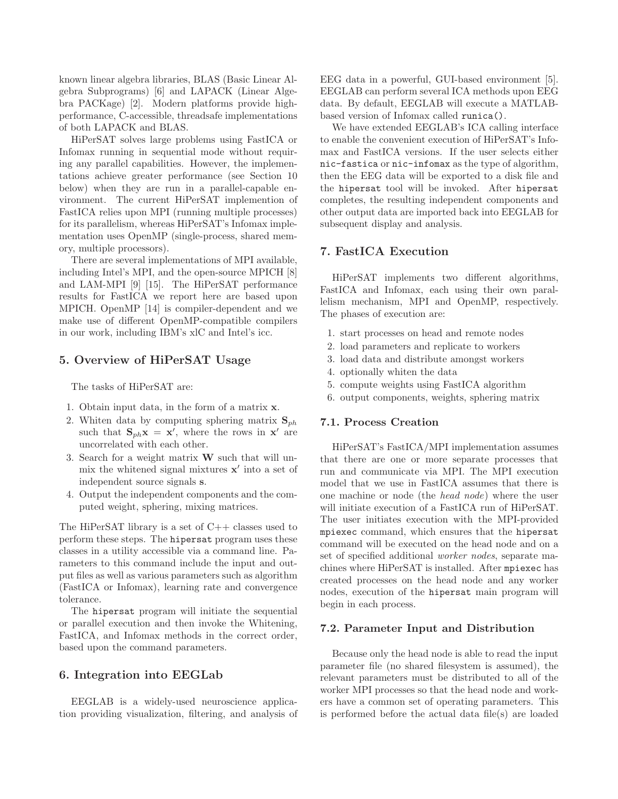known linear algebra libraries, BLAS (Basic Linear Algebra Subprograms) [6] and LAPACK (Linear Algebra PACKage) [2]. Modern platforms provide highperformance, C-accessible, threadsafe implementations of both LAPACK and BLAS.

HiPerSAT solves large problems using FastICA or Infomax running in sequential mode without requiring any parallel capabilities. However, the implementations achieve greater performance (see Section 10 below) when they are run in a parallel-capable environment. The current HiPerSAT implemention of FastICA relies upon MPI (running multiple processes) for its parallelism, whereas HiPerSAT's Infomax implementation uses OpenMP (single-process, shared memory, multiple processors).

There are several implementations of MPI available, including Intel's MPI, and the open-source MPICH [8] and LAM-MPI [9] [15]. The HiPerSAT performance results for FastICA we report here are based upon MPICH. OpenMP [14] is compiler-dependent and we make use of different OpenMP-compatible compilers in our work, including IBM's xlC and Intel's icc.

## **5. Overview of HiPerSAT Usage**

The tasks of HiPerSAT are:

- 1. Obtain input data, in the form of a matrix **x**.
- 2. Whiten data by computing sphering matrix  $S_{ph}$ such that  $S_{ph}x = x'$ , where the rows in  $x'$  are uncorrelated with each other.
- 3. Search for a weight matrix **W** such that will unmix the whitened signal mixtures  $x'$  into a set of independent source signals **s**.
- 4. Output the independent components and the computed weight, sphering, mixing matrices.

The HiPerSAT library is a set of  $C_{++}$  classes used to perform these steps. The hipersat program uses these classes in a utility accessible via a command line. Parameters to this command include the input and output files as well as various parameters such as algorithm (FastICA or Infomax), learning rate and convergence tolerance.

The hipersat program will initiate the sequential or parallel execution and then invoke the Whitening, FastICA, and Infomax methods in the correct order, based upon the command parameters.

#### **6. Integration into EEGLab**

EEGLAB is a widely-used neuroscience application providing visualization, filtering, and analysis of EEG data in a powerful, GUI-based environment [5]. EEGLAB can perform several ICA methods upon EEG data. By default, EEGLAB will execute a MATLABbased version of Infomax called runica().

We have extended EEGLAB's ICA calling interface to enable the convenient execution of HiPerSAT's Infomax and FastICA versions. If the user selects either nic-fastica or nic-infomax as the type of algorithm, then the EEG data will be exported to a disk file and the hipersat tool will be invoked. After hipersat completes, the resulting independent components and other output data are imported back into EEGLAB for subsequent display and analysis.

### **7. FastICA Execution**

HiPerSAT implements two different algorithms, FastICA and Infomax, each using their own parallelism mechanism, MPI and OpenMP, respectively. The phases of execution are:

- 1. start processes on head and remote nodes
- 2. load parameters and replicate to workers
- 3. load data and distribute amongst workers
- 4. optionally whiten the data
- 5. compute weights using FastICA algorithm
- 6. output components, weights, sphering matrix

## **7.1. Process Creation**

HiPerSAT's FastICA/MPI implementation assumes that there are one or more separate processes that run and communicate via MPI. The MPI execution model that we use in FastICA assumes that there is one machine or node (the head node) where the user will initiate execution of a FastICA run of HiPerSAT. The user initiates execution with the MPI-provided mpiexec command, which ensures that the hipersat command will be executed on the head node and on a set of specified additional worker nodes, separate machines where HiPerSAT is installed. After mpiexec has created processes on the head node and any worker nodes, execution of the hipersat main program will begin in each process.

#### **7.2. Parameter Input and Distribution**

Because only the head node is able to read the input parameter file (no shared filesystem is assumed), the relevant parameters must be distributed to all of the worker MPI processes so that the head node and workers have a common set of operating parameters. This is performed before the actual data file(s) are loaded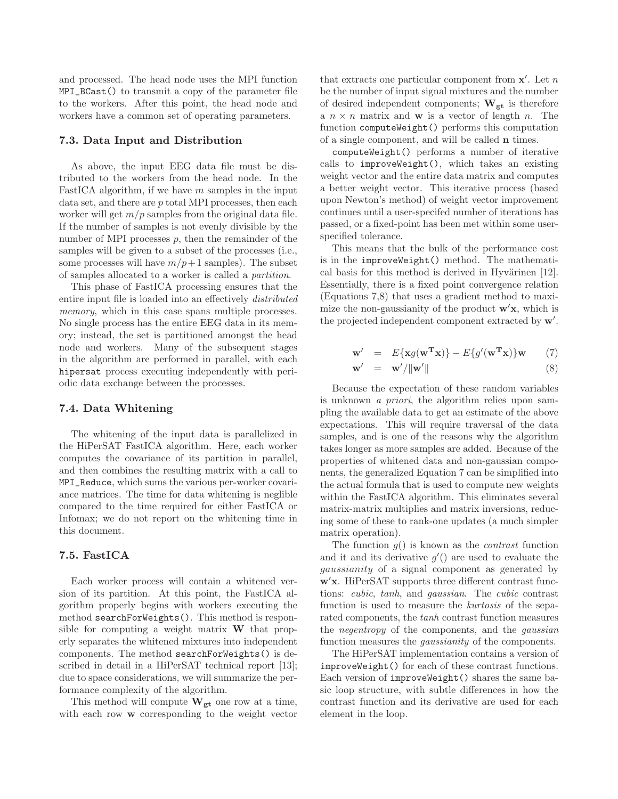and processed. The head node uses the MPI function MPI\_BCast() to transmit a copy of the parameter file to the workers. After this point, the head node and workers have a common set of operating parameters.

#### **7.3. Data Input and Distribution**

As above, the input EEG data file must be distributed to the workers from the head node. In the FastICA algorithm, if we have  $m$  samples in the input data set, and there are p total MPI processes, then each worker will get  $m/p$  samples from the original data file. If the number of samples is not evenly divisible by the number of MPI processes  $p$ , then the remainder of the samples will be given to a subset of the processes (i.e., some processes will have  $m/p+1$  samples). The subset of samples allocated to a worker is called a partition.

This phase of FastICA processing ensures that the entire input file is loaded into an effectively distributed memory, which in this case spans multiple processes. No single process has the entire EEG data in its memory; instead, the set is partitioned amongst the head node and workers. Many of the subsequent stages in the algorithm are performed in parallel, with each hipersat process executing independently with periodic data exchange between the processes.

#### **7.4. Data Whitening**

The whitening of the input data is parallelized in the HiPerSAT FastICA algorithm. Here, each worker computes the covariance of its partition in parallel, and then combines the resulting matrix with a call to MPI\_Reduce, which sums the various per-worker covariance matrices. The time for data whitening is neglible compared to the time required for either FastICA or Infomax; we do not report on the whitening time in this document.

#### **7.5. FastICA**

Each worker process will contain a whitened version of its partition. At this point, the FastICA algorithm properly begins with workers executing the method searchForWeights(). This method is responsible for computing a weight matrix **W** that properly separates the whitened mixtures into independent components. The method searchForWeights() is described in detail in a HiPerSAT technical report [13]; due to space considerations, we will summarize the performance complexity of the algorithm.

This method will compute **<sup>W</sup>gt** one row at a time, with each row **w** corresponding to the weight vector

that extracts one particular component from  $\mathbf{x}'$ . Let n<br>be the number of input signal mixtures and the number be the number of input signal mixtures and the number of desired independent components; **<sup>W</sup>gt** is therefore a  $n \times n$  matrix and **w** is a vector of length n. The function computeWeight() performs this computation of a single component, and will be called **n** times.

computeWeight() performs a number of iterative calls to improveWeight(), which takes an existing weight vector and the entire data matrix and computes a better weight vector. This iterative process (based upon Newton's method) of weight vector improvement continues until a user-specifed number of iterations has passed, or a fixed-point has been met within some userspecified tolerance.

This means that the bulk of the performance cost is in the improveWeight() method. The mathematical basis for this method is derived in Hyvärinen  $[12]$ . Essentially, there is a fixed point convergence relation (Equations 7,8) that uses a gradient method to maximize the non-gaussianity of the product **w x**, which is the projected independent component extracted by **w** .

$$
\mathbf{w}' = E\{\mathbf{x}g(\mathbf{w}^{\mathbf{T}}\mathbf{x})\} - E\{g'(\mathbf{w}^{\mathbf{T}}\mathbf{x})\}\mathbf{w} \qquad (7)
$$

$$
\mathbf{w}' = \mathbf{w}' / \|\mathbf{w}'\| \tag{8}
$$

Because the expectation of these random variables is unknown a priori, the algorithm relies upon sampling the available data to get an estimate of the above expectations. This will require traversal of the data samples, and is one of the reasons why the algorithm takes longer as more samples are added. Because of the properties of whitened data and non-gaussian components, the generalized Equation 7 can be simplified into the actual formula that is used to compute new weights within the FastICA algorithm. This eliminates several matrix-matrix multiplies and matrix inversions, reducing some of these to rank-one updates (a much simpler matrix operation).

The function  $q()$  is known as the *contrast* function and it and its derivative  $g'(x)$  are used to evaluate the *gaussianity* of a signal component as generated by gaussianity of a signal component as generated by **w x**. HiPerSAT supports three different contrast functions: cubic, tanh, and gaussian. The cubic contrast function is used to measure the *kurtosis* of the separated components, the tanh contrast function measures the negentropy of the components, and the gaussian function measures the gaussianity of the components.

The HiPerSAT implementation contains a version of improveWeight() for each of these contrast functions. Each version of improveWeight() shares the same basic loop structure, with subtle differences in how the contrast function and its derivative are used for each element in the loop.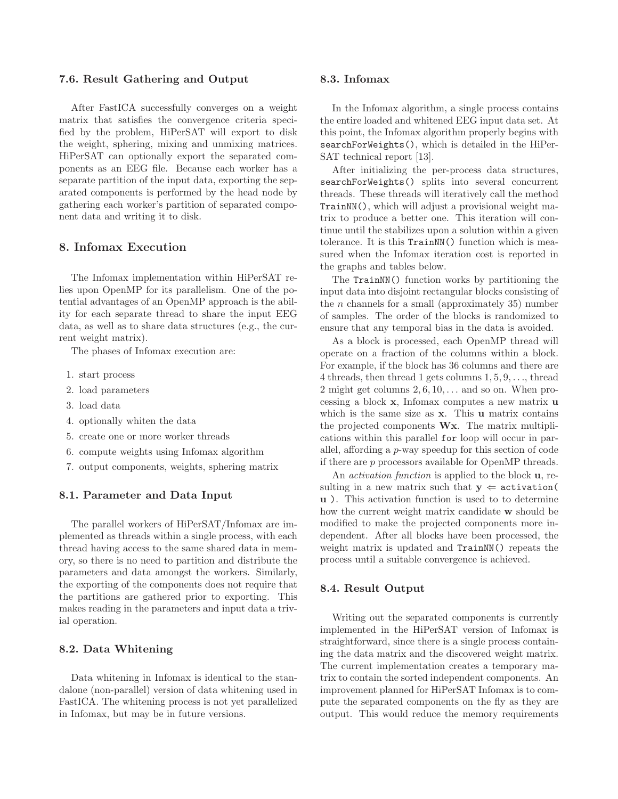#### **7.6. Result Gathering and Output**

After FastICA successfully converges on a weight matrix that satisfies the convergence criteria specified by the problem, HiPerSAT will export to disk the weight, sphering, mixing and unmixing matrices. HiPerSAT can optionally export the separated components as an EEG file. Because each worker has a separate partition of the input data, exporting the separated components is performed by the head node by gathering each worker's partition of separated component data and writing it to disk.

## **8. Infomax Execution**

The Infomax implementation within HiPerSAT relies upon OpenMP for its parallelism. One of the potential advantages of an OpenMP approach is the ability for each separate thread to share the input EEG data, as well as to share data structures (e.g., the current weight matrix).

The phases of Infomax execution are:

- 1. start process
- 2. load parameters
- 3. load data
- 4. optionally whiten the data
- 5. create one or more worker threads
- 6. compute weights using Infomax algorithm
- 7. output components, weights, sphering matrix

#### **8.1. Parameter and Data Input**

The parallel workers of HiPerSAT/Infomax are implemented as threads within a single process, with each thread having access to the same shared data in memory, so there is no need to partition and distribute the parameters and data amongst the workers. Similarly, the exporting of the components does not require that the partitions are gathered prior to exporting. This makes reading in the parameters and input data a trivial operation.

## **8.2. Data Whitening**

Data whitening in Infomax is identical to the standalone (non-parallel) version of data whitening used in FastICA. The whitening process is not yet parallelized in Infomax, but may be in future versions.

#### **8.3. Infomax**

In the Infomax algorithm, a single process contains the entire loaded and whitened EEG input data set. At this point, the Infomax algorithm properly begins with searchForWeights(), which is detailed in the HiPer-SAT technical report [13].

After initializing the per-process data structures, searchForWeights() splits into several concurrent threads. These threads will iteratively call the method TrainNN(), which will adjust a provisional weight matrix to produce a better one. This iteration will continue until the stabilizes upon a solution within a given tolerance. It is this TrainNN() function which is measured when the Infomax iteration cost is reported in the graphs and tables below.

The TrainNN() function works by partitioning the input data into disjoint rectangular blocks consisting of the  $n$  channels for a small (approximately 35) number of samples. The order of the blocks is randomized to ensure that any temporal bias in the data is avoided.

As a block is processed, each OpenMP thread will operate on a fraction of the columns within a block. For example, if the block has 36 columns and there are 4 threads, then thread 1 gets columns 1, <sup>5</sup>, <sup>9</sup>,..., thread 2 might get columns  $2, 6, 10, \ldots$  and so on. When processing a block **x**, Infomax computes a new matrix **u** which is the same size as **x**. This **u** matrix contains the projected components **Wx**. The matrix multiplications within this parallel for loop will occur in parallel, affording a p-way speedup for this section of code if there are p processors available for OpenMP threads.

An activation function is applied to the block **u**, resulting in a new matrix such that  $y \leftarrow$  activation( **u** ). This activation function is used to to determine how the current weight matrix candidate **w** should be modified to make the projected components more independent. After all blocks have been processed, the weight matrix is updated and TrainNN() repeats the process until a suitable convergence is achieved.

#### **8.4. Result Output**

Writing out the separated components is currently implemented in the HiPerSAT version of Infomax is straightforward, since there is a single process containing the data matrix and the discovered weight matrix. The current implementation creates a temporary matrix to contain the sorted independent components. An improvement planned for HiPerSAT Infomax is to compute the separated components on the fly as they are output. This would reduce the memory requirements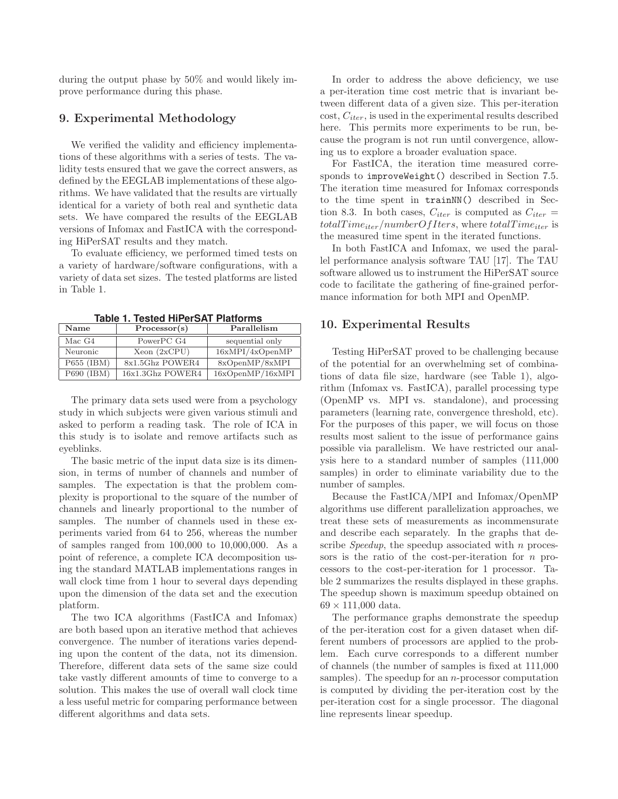during the output phase by 50% and would likely improve performance during this phase.

## **9. Experimental Methodology**

We verified the validity and efficiency implementations of these algorithms with a series of tests. The validity tests ensured that we gave the correct answers, as defined by the EEGLAB implementations of these algorithms. We have validated that the results are virtually identical for a variety of both real and synthetic data sets. We have compared the results of the EEGLAB versions of Infomax and FastICA with the corresponding HiPerSAT results and they match.

To evaluate efficiency, we performed timed tests on a variety of hardware/software configurations, with a variety of data set sizes. The tested platforms are listed in Table 1.

| $1400$ . The contract in the contract of the contract of the contract of $\sim$ |            |                  |                  |
|---------------------------------------------------------------------------------|------------|------------------|------------------|
|                                                                                 | Name       | Processor(s)     | Parallelism      |
|                                                                                 | Mac G4     | PowerPC G4       | sequential only  |
|                                                                                 | Neuronic   | Xeon (2xCPU)     | 16xMPI/4xOpenMP  |
|                                                                                 | P655 (IBM) | 8x1.5Ghz POWER4  | 8xOpenMP/8xMPI   |
|                                                                                 | P690 (IBM) | 16x1.3Ghz POWER4 | 16xOpenMP/16xMPI |

**Table 1. Tested HiPerSAT Platforms**

The primary data sets used were from a psychology study in which subjects were given various stimuli and asked to perform a reading task. The role of ICA in this study is to isolate and remove artifacts such as eyeblinks.

The basic metric of the input data size is its dimension, in terms of number of channels and number of samples. The expectation is that the problem complexity is proportional to the square of the number of channels and linearly proportional to the number of samples. The number of channels used in these experiments varied from 64 to 256, whereas the number of samples ranged from 100,000 to 10,000,000. As a point of reference, a complete ICA decomposition using the standard MATLAB implementations ranges in wall clock time from 1 hour to several days depending upon the dimension of the data set and the execution platform.

The two ICA algorithms (FastICA and Infomax) are both based upon an iterative method that achieves convergence. The number of iterations varies depending upon the content of the data, not its dimension. Therefore, different data sets of the same size could take vastly different amounts of time to converge to a solution. This makes the use of overall wall clock time a less useful metric for comparing performance between different algorithms and data sets.

In order to address the above deficiency, we use a per-iteration time cost metric that is invariant between different data of a given size. This per-iteration  $cost, C_{iter}$ , is used in the experimental results described here. This permits more experiments to be run, because the program is not run until convergence, allowing us to explore a broader evaluation space.

For FastICA, the iteration time measured corresponds to improveWeight() described in Section 7.5. The iteration time measured for Infomax corresponds to the time spent in trainNN() described in Section 8.3. In both cases,  $C_{iter}$  is computed as  $C_{iter}$  =  $totalTime_{iter}/numberOfIters$ , where  $totalTime_{iter}$  is the measured time spent in the iterated functions.

In both FastICA and Infomax, we used the parallel performance analysis software TAU [17]. The TAU software allowed us to instrument the HiPerSAT source code to facilitate the gathering of fine-grained performance information for both MPI and OpenMP.

#### **10. Experimental Results**

Testing HiPerSAT proved to be challenging because of the potential for an overwhelming set of combinations of data file size, hardware (see Table 1), algorithm (Infomax vs. FastICA), parallel processing type (OpenMP vs. MPI vs. standalone), and processing parameters (learning rate, convergence threshold, etc). For the purposes of this paper, we will focus on those results most salient to the issue of performance gains possible via parallelism. We have restricted our analysis here to a standard number of samples (111,<sup>000</sup> samples) in order to eliminate variability due to the number of samples.

Because the FastICA/MPI and Infomax/OpenMP algorithms use different parallelization approaches, we treat these sets of measurements as incommensurate and describe each separately. In the graphs that describe Speedup, the speedup associated with  $n$  processors is the ratio of the cost-per-iteration for n processors to the cost-per-iteration for 1 processor. Table 2 summarizes the results displayed in these graphs. The speedup shown is maximum speedup obtained on  $69 \times 111,000$  data.

The performance graphs demonstrate the speedup of the per-iteration cost for a given dataset when different numbers of processors are applied to the problem. Each curve corresponds to a different number of channels (the number of samples is fixed at 111,<sup>000</sup> samples). The speedup for an  $n$ -processor computation is computed by dividing the per-iteration cost by the per-iteration cost for a single processor. The diagonal line represents linear speedup.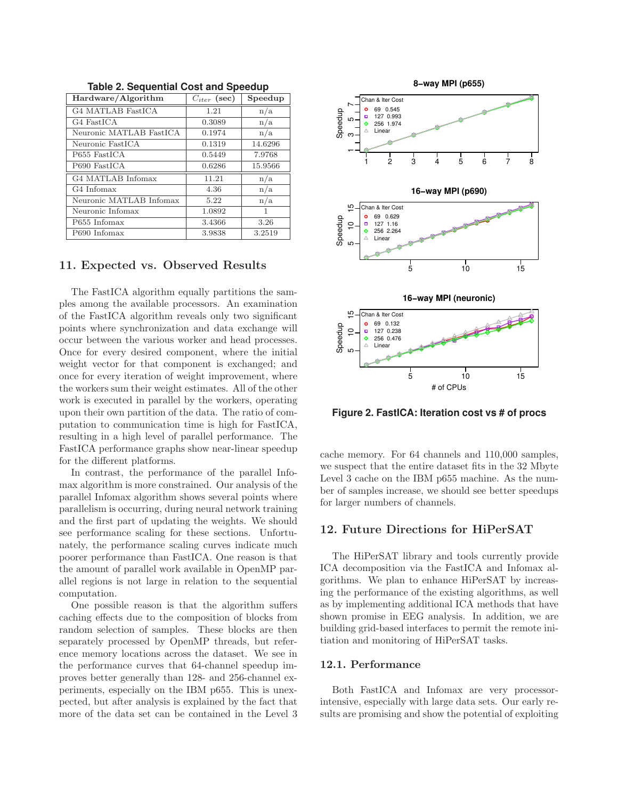| Hardware/Algorithm       | $C_{iter}$ (sec) | Speedup |
|--------------------------|------------------|---------|
| <b>G4 MATLAB FastICA</b> | 1.21             | n/a     |
| G4 FastICA               | 0.3089           | n/a     |
| Neuronic MATLAB FastICA  | 0.1974           | n/a     |
| Neuronic FastICA         | 0.1319           | 14.6296 |
| P655 FastICA             | 0.5449           | 7.9768  |
| P690 FastICA             | 0.6286           | 15.9566 |
| G4 MATLAB Infomax        | 11.21            | n/a     |
| G4 Infomax               | 4.36             | n/a     |
| Neuronic MATLAB Infomax  | 5.22             | n/a     |
| Neuronic Infomax         | 1.0892           | 1       |
| P655 Infomax             | 3.4366           | 3.26    |
| P690 Infomax             | 3.9838           | 3.2519  |

**Table 2. Sequential Cost and Speedup**

## **11. Expected vs. Observed Results**

The FastICA algorithm equally partitions the samples among the available processors. An examination of the FastICA algorithm reveals only two significant points where synchronization and data exchange will occur between the various worker and head processes. Once for every desired component, where the initial weight vector for that component is exchanged; and once for every iteration of weight improvement, where the workers sum their weight estimates. All of the other work is executed in parallel by the workers, operating upon their own partition of the data. The ratio of computation to communication time is high for FastICA, resulting in a high level of parallel performance. The FastICA performance graphs show near-linear speedup for the different platforms.

In contrast, the performance of the parallel Infomax algorithm is more constrained. Our analysis of the parallel Infomax algorithm shows several points where parallelism is occurring, during neural network training and the first part of updating the weights. We should see performance scaling for these sections. Unfortunately, the performance scaling curves indicate much poorer performance than FastICA. One reason is that the amount of parallel work available in OpenMP parallel regions is not large in relation to the sequential computation.

One possible reason is that the algorithm suffers caching effects due to the composition of blocks from random selection of samples. These blocks are then separately processed by OpenMP threads, but reference memory locations across the dataset. We see in the performance curves that 64-channel speedup improves better generally than 128- and 256-channel experiments, especially on the IBM p655. This is unexpected, but after analysis is explained by the fact that more of the data set can be contained in the Level 3



**Figure 2. FastICA: Iteration cost vs # of procs**

cache memory. For 64 channels and 110,000 samples, we suspect that the entire dataset fits in the 32 Mbyte Level 3 cache on the IBM p655 machine. As the number of samples increase, we should see better speedups for larger numbers of channels.

## **12. Future Directions for HiPerSAT**

The HiPerSAT library and tools currently provide ICA decomposition via the FastICA and Infomax algorithms. We plan to enhance HiPerSAT by increasing the performance of the existing algorithms, as well as by implementing additional ICA methods that have shown promise in EEG analysis. In addition, we are building grid-based interfaces to permit the remote initiation and monitoring of HiPerSAT tasks.

## **12.1. Performance**

Both FastICA and Infomax are very processorintensive, especially with large data sets. Our early results are promising and show the potential of exploiting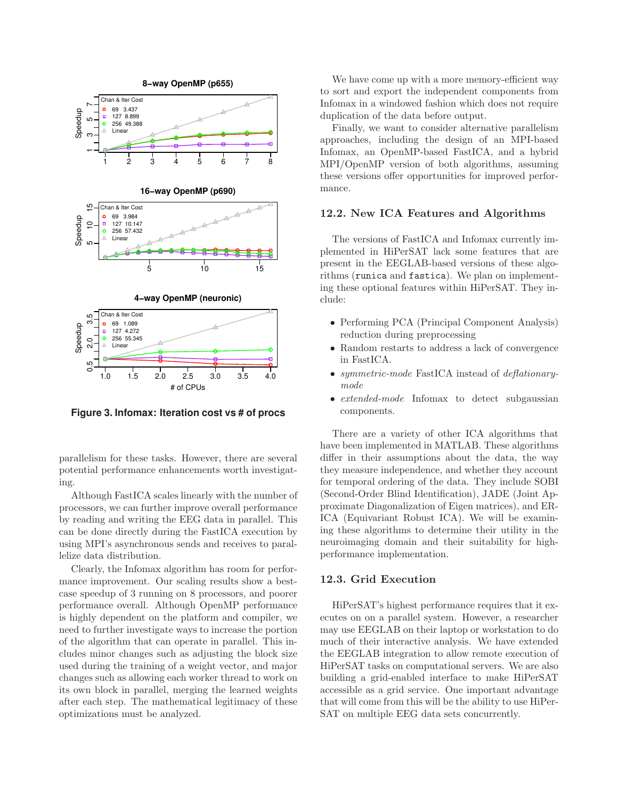

**Figure 3. Infomax: Iteration cost vs # of procs**

parallelism for these tasks. However, there are several potential performance enhancements worth investigating.

Although FastICA scales linearly with the number of processors, we can further improve overall performance by reading and writing the EEG data in parallel. This can be done directly during the FastICA execution by using MPI's asynchronous sends and receives to parallelize data distribution.

Clearly, the Infomax algorithm has room for performance improvement. Our scaling results show a bestcase speedup of 3 running on 8 processors, and poorer performance overall. Although OpenMP performance is highly dependent on the platform and compiler, we need to further investigate ways to increase the portion of the algorithm that can operate in parallel. This includes minor changes such as adjusting the block size used during the training of a weight vector, and major changes such as allowing each worker thread to work on its own block in parallel, merging the learned weights after each step. The mathematical legitimacy of these optimizations must be analyzed.

We have come up with a more memory-efficient way to sort and export the independent components from Infomax in a windowed fashion which does not require duplication of the data before output.

Finally, we want to consider alternative parallelism approaches, including the design of an MPI-based Infomax, an OpenMP-based FastICA, and a hybrid MPI/OpenMP version of both algorithms, assuming these versions offer opportunities for improved performance.

## **12.2. New ICA Features and Algorithms**

The versions of FastICA and Infomax currently implemented in HiPerSAT lack some features that are present in the EEGLAB-based versions of these algorithms (runica and fastica). We plan on implementing these optional features within HiPerSAT. They include:

- Performing PCA (Principal Component Analysis) reduction during preprocessing
- Random restarts to address a lack of convergence in FastICA.
- *symmetric-mode* FastICA instead of *deflationary*mode
- extended-mode Infomax to detect subgaussian components.

There are a variety of other ICA algorithms that have been implemented in MATLAB. These algorithms differ in their assumptions about the data, the way they measure independence, and whether they account for temporal ordering of the data. They include SOBI (Second-Order Blind Identification), JADE (Joint Approximate Diagonalization of Eigen matrices), and ER-ICA (Equivariant Robust ICA). We will be examining these algorithms to determine their utility in the neuroimaging domain and their suitability for highperformance implementation.

## **12.3. Grid Execution**

HiPerSAT's highest performance requires that it executes on on a parallel system. However, a researcher may use EEGLAB on their laptop or workstation to do much of their interactive analysis. We have extended the EEGLAB integration to allow remote execution of HiPerSAT tasks on computational servers. We are also building a grid-enabled interface to make HiPerSAT accessible as a grid service. One important advantage that will come from this will be the ability to use HiPer-SAT on multiple EEG data sets concurrently.